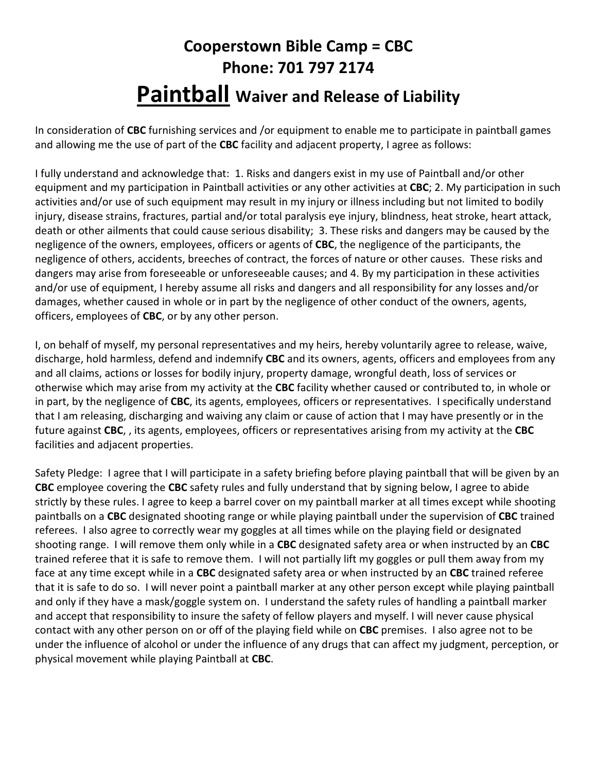## Cooperstown Bible Camp = CBC Phone: 701 797 2174 Paintball Waiver and Release of Liability

In consideration of CBC furnishing services and /or equipment to enable me to participate in paintball games and allowing me the use of part of the CBC facility and adjacent property, I agree as follows:

I fully understand and acknowledge that: 1. Risks and dangers exist in my use of Paintball and/or other equipment and my participation in Paintball activities or any other activities at CBC; 2. My participation in such activities and/or use of such equipment may result in my injury or illness including but not limited to bodily injury, disease strains, fractures, partial and/or total paralysis eye injury, blindness, heat stroke, heart attack, death or other ailments that could cause serious disability; 3. These risks and dangers may be caused by the negligence of the owners, employees, officers or agents of CBC, the negligence of the participants, the negligence of others, accidents, breeches of contract, the forces of nature or other causes. These risks and dangers may arise from foreseeable or unforeseeable causes; and 4. By my participation in these activities and/or use of equipment, I hereby assume all risks and dangers and all responsibility for any losses and/or damages, whether caused in whole or in part by the negligence of other conduct of the owners, agents, officers, employees of CBC, or by any other person.

I, on behalf of myself, my personal representatives and my heirs, hereby voluntarily agree to release, waive, discharge, hold harmless, defend and indemnify CBC and its owners, agents, officers and employees from any and all claims, actions or losses for bodily injury, property damage, wrongful death, loss of services or otherwise which may arise from my activity at the CBC facility whether caused or contributed to, in whole or in part, by the negligence of CBC, its agents, employees, officers or representatives. I specifically understand that I am releasing, discharging and waiving any claim or cause of action that I may have presently or in the future against CBC,, its agents, employees, officers or representatives arising from my activity at the CBC facilities and adjacent properties.

Safety Pledge: I agree that I will participate in a safety briefing before playing paintball that will be given by an CBC employee covering the CBC safety rules and fully understand that by signing below, I agree to abide strictly by these rules. I agree to keep a barrel cover on my paintball marker at all times except while shooting paintballs on a CBC designated shooting range or while playing paintball under the supervision of CBC trained referees. I also agree to correctly wear my goggles at all times while on the playing field or designated shooting range. I will remove them only while in a CBC designated safety area or when instructed by an CBC trained referee that it is safe to remove them. I will not partially lift my goggles or pull them away from my face at any time except while in a CBC designated safety area or when instructed by an CBC trained referee that it is safe to do so. I will never point a paintball marker at any other person except while playing paintball and only if they have a mask/goggle system on. I understand the safety rules of handling a paintball marker and accept that responsibility to insure the safety of fellow players and myself. I will never cause physical contact with any other person on or off of the playing field while on CBC premises. I also agree not to be under the influence of alcohol or under the influence of any drugs that can affect my judgment, perception, or physical movement while playing Paintball at CBC.